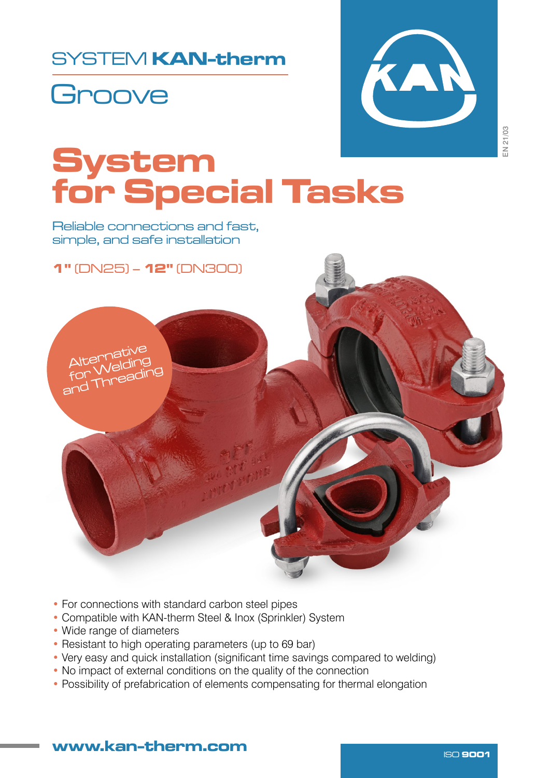## SYSTEM KAN-therm





EN 21/03

# System for Special Tasks

Reliable connections and fast, simple, and safe installation



- For connections with standard carbon steel pipes
- Compatible with KAN-therm Steel & Inox (Sprinkler) System
- Wide range of diameters
- Resistant to high operating parameters (up to 69 bar)
- Very easy and quick installation (significant time savings compared to welding)
- No impact of external conditions on the quality of the connection
- Possibility of prefabrication of elements compensating for thermal elongation

#### www.kan-therm.com